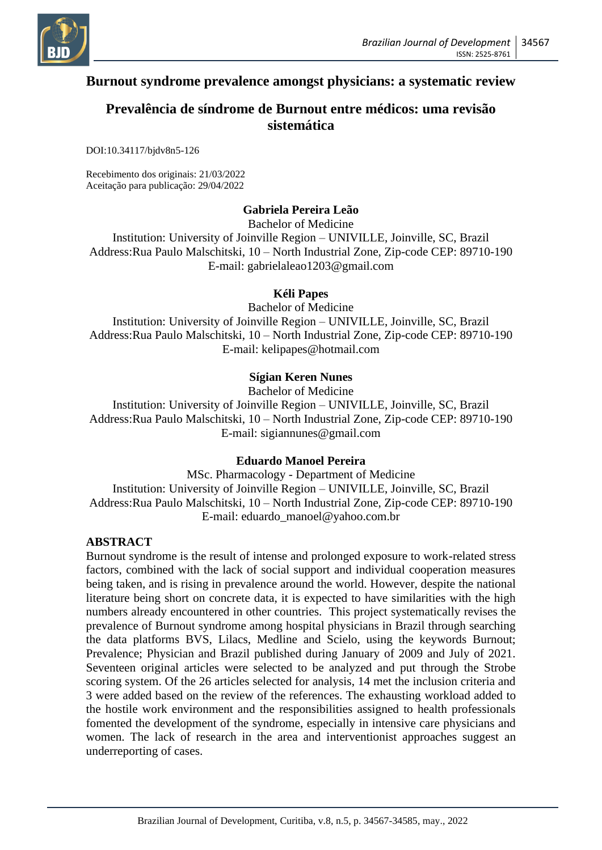

# **Burnout syndrome prevalence amongst physicians: a systematic review**

# **Prevalência de síndrome de Burnout entre médicos: uma revisão sistemática**

DOI:10.34117/bjdv8n5-126

Recebimento dos originais: 21/03/2022 Aceitação para publicação: 29/04/2022

## **Gabriela Pereira Leão**

Bachelor of Medicine

Institution: University of Joinville Region – UNIVILLE, Joinville, SC, Brazil Address:Rua Paulo Malschitski, 10 – North Industrial Zone, Zip-code CEP: 89710-190 E-mail: gabrielaleao1203@gmail.com

#### **Kéli Papes**

Bachelor of Medicine Institution: University of Joinville Region – UNIVILLE, Joinville, SC, Brazil Address:Rua Paulo Malschitski, 10 – North Industrial Zone, Zip-code CEP: 89710-190 E-mail: kelipapes@hotmail.com

## **Sígian Keren Nunes**

Bachelor of Medicine Institution: University of Joinville Region – UNIVILLE, Joinville, SC, Brazil Address:Rua Paulo Malschitski, 10 – North Industrial Zone, Zip-code CEP: 89710-190 E-mail: sigiannunes@gmail.com

#### **Eduardo Manoel Pereira**

MSc. Pharmacology - Department of Medicine Institution: University of Joinville Region – UNIVILLE, Joinville, SC, Brazil Address:Rua Paulo Malschitski, 10 – North Industrial Zone, Zip-code CEP: 89710-190 E-mail: eduardo\_manoel@yahoo.com.br

#### **ABSTRACT**

Burnout syndrome is the result of intense and prolonged exposure to work-related stress factors, combined with the lack of social support and individual cooperation measures being taken, and is rising in prevalence around the world. However, despite the national literature being short on concrete data, it is expected to have similarities with the high numbers already encountered in other countries. This project systematically revises the prevalence of Burnout syndrome among hospital physicians in Brazil through searching the data platforms BVS, Lilacs, Medline and Scielo, using the keywords Burnout; Prevalence; Physician and Brazil published during January of 2009 and July of 2021. Seventeen original articles were selected to be analyzed and put through the Strobe scoring system. Of the 26 articles selected for analysis, 14 met the inclusion criteria and 3 were added based on the review of the references. The exhausting workload added to the hostile work environment and the responsibilities assigned to health professionals fomented the development of the syndrome, especially in intensive care physicians and women. The lack of research in the area and interventionist approaches suggest an underreporting of cases.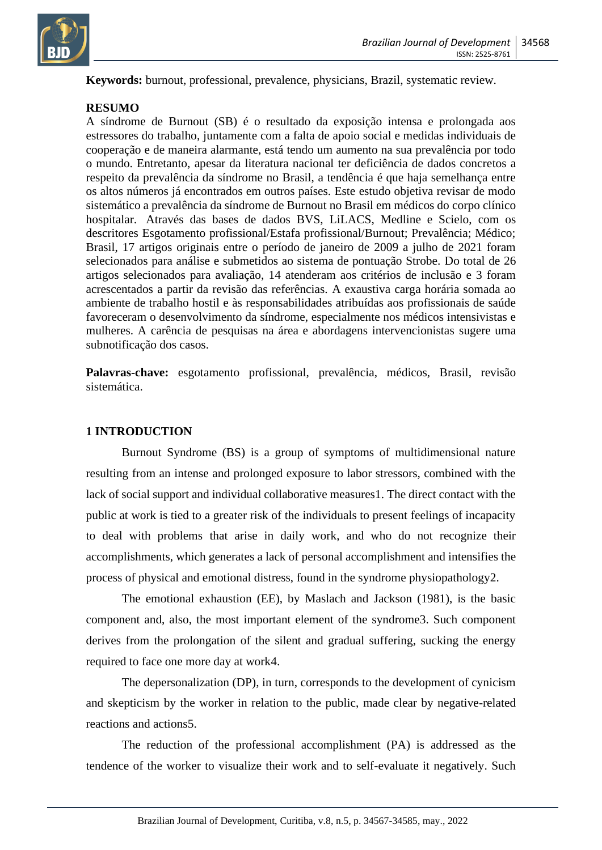

**Keywords:** burnout, professional, prevalence, physicians, Brazil, systematic review.

#### **RESUMO**

A síndrome de Burnout (SB) é o resultado da exposição intensa e prolongada aos estressores do trabalho, juntamente com a falta de apoio social e medidas individuais de cooperação e de maneira alarmante, está tendo um aumento na sua prevalência por todo o mundo. Entretanto, apesar da literatura nacional ter deficiência de dados concretos a respeito da prevalência da síndrome no Brasil, a tendência é que haja semelhança entre os altos números já encontrados em outros países. Este estudo objetiva revisar de modo sistemático a prevalência da síndrome de Burnout no Brasil em médicos do corpo clínico hospitalar. Através das bases de dados BVS, LiLACS, Medline e Scielo, com os descritores Esgotamento profissional/Estafa profissional/Burnout; Prevalência; Médico; Brasil, 17 artigos originais entre o período de janeiro de 2009 a julho de 2021 foram selecionados para análise e submetidos ao sistema de pontuação Strobe. Do total de 26 artigos selecionados para avaliação, 14 atenderam aos critérios de inclusão e 3 foram acrescentados a partir da revisão das referências. A exaustiva carga horária somada ao ambiente de trabalho hostil e às responsabilidades atribuídas aos profissionais de saúde favoreceram o desenvolvimento da síndrome, especialmente nos médicos intensivistas e mulheres. A carência de pesquisas na área e abordagens intervencionistas sugere uma subnotificação dos casos.

**Palavras-chave:** esgotamento profissional, prevalência, médicos, Brasil, revisão sistemática.

#### **1 INTRODUCTION**

Burnout Syndrome (BS) is a group of symptoms of multidimensional nature resulting from an intense and prolonged exposure to labor stressors, combined with the lack of social support and individual collaborative measures1. The direct contact with the public at work is tied to a greater risk of the individuals to present feelings of incapacity to deal with problems that arise in daily work, and who do not recognize their accomplishments, which generates a lack of personal accomplishment and intensifies the process of physical and emotional distress, found in the syndrome physiopathology2.

The emotional exhaustion (EE), by Maslach and Jackson (1981), is the basic component and, also, the most important element of the syndrome3. Such component derives from the prolongation of the silent and gradual suffering, sucking the energy required to face one more day at work4.

The depersonalization (DP), in turn, corresponds to the development of cynicism and skepticism by the worker in relation to the public, made clear by negative-related reactions and actions5.

The reduction of the professional accomplishment (PA) is addressed as the tendence of the worker to visualize their work and to self-evaluate it negatively. Such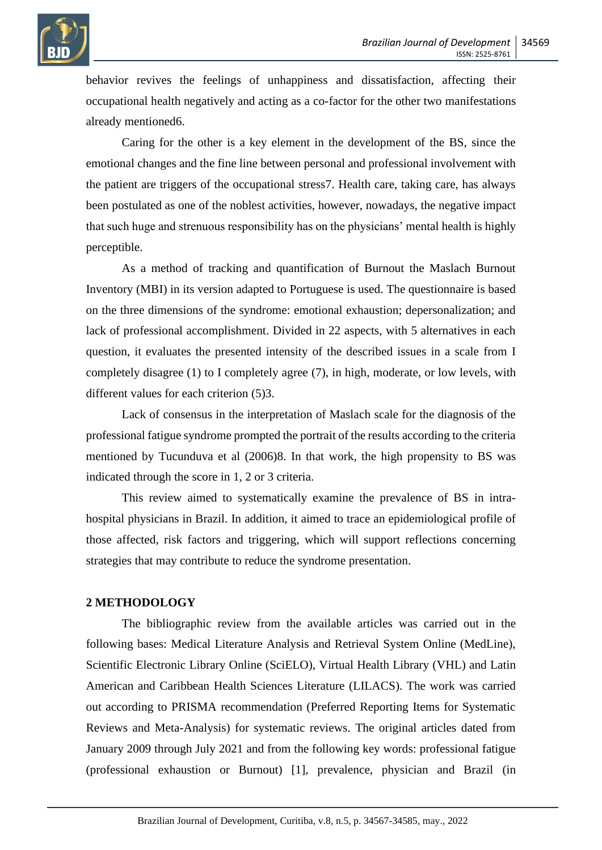

behavior revives the feelings of unhappiness and dissatisfaction, affecting their occupational health negatively and acting as a co-factor for the other two manifestations already mentioned6.

Caring for the other is a key element in the development of the BS, since the emotional changes and the fine line between personal and professional involvement with the patient are triggers of the occupational stress7. Health care, taking care, has always been postulated as one of the noblest activities, however, nowadays, the negative impact that such huge and strenuous responsibility has on the physicians' mental health is highly perceptible.

As a method of tracking and quantification of Burnout the Maslach Burnout Inventory (MBI) in its version adapted to Portuguese is used. The questionnaire is based on the three dimensions of the syndrome: emotional exhaustion; depersonalization; and lack of professional accomplishment. Divided in 22 aspects, with 5 alternatives in each question, it evaluates the presented intensity of the described issues in a scale from I completely disagree (1) to I completely agree (7), in high, moderate, or low levels, with different values for each criterion (5)3.

Lack of consensus in the interpretation of Maslach scale for the diagnosis of the professional fatigue syndrome prompted the portrait of the results according to the criteria mentioned by Tucunduva et al (2006)8. In that work, the high propensity to BS was indicated through the score in 1, 2 or 3 criteria.

This review aimed to systematically examine the prevalence of BS in intrahospital physicians in Brazil. In addition, it aimed to trace an epidemiological profile of those affected, risk factors and triggering, which will support reflections concerning strategies that may contribute to reduce the syndrome presentation.

### **2 METHODOLOGY**

The bibliographic review from the available articles was carried out in the following bases: Medical Literature Analysis and Retrieval System Online (MedLine), Scientific Electronic Library Online (SciELO), Virtual Health Library (VHL) and Latin American and Caribbean Health Sciences Literature (LILACS). The work was carried out according to PRISMA recommendation (Preferred Reporting Items for Systematic Reviews and Meta-Analysis) for systematic reviews. The original articles dated from January 2009 through July 2021 and from the following key words: professional fatigue (professional exhaustion or Burnout) [1], prevalence, physician and Brazil (in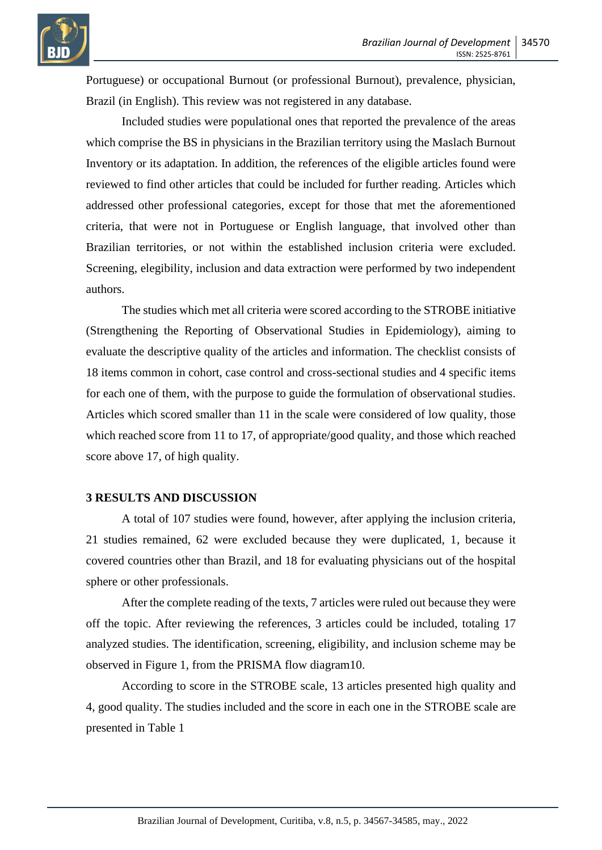

Portuguese) or occupational Burnout (or professional Burnout), prevalence, physician, Brazil (in English). This review was not registered in any database.

Included studies were populational ones that reported the prevalence of the areas which comprise the BS in physicians in the Brazilian territory using the Maslach Burnout Inventory or its adaptation. In addition, the references of the eligible articles found were reviewed to find other articles that could be included for further reading. Articles which addressed other professional categories, except for those that met the aforementioned criteria, that were not in Portuguese or English language, that involved other than Brazilian territories, or not within the established inclusion criteria were excluded. Screening, elegibility, inclusion and data extraction were performed by two independent authors.

The studies which met all criteria were scored according to the STROBE initiative (Strengthening the Reporting of Observational Studies in Epidemiology), aiming to evaluate the descriptive quality of the articles and information. The checklist consists of 18 items common in cohort, case control and cross-sectional studies and 4 specific items for each one of them, with the purpose to guide the formulation of observational studies. Articles which scored smaller than 11 in the scale were considered of low quality, those which reached score from 11 to 17, of appropriate/good quality, and those which reached score above 17, of high quality.

## **3 RESULTS AND DISCUSSION**

A total of 107 studies were found, however, after applying the inclusion criteria, 21 studies remained, 62 were excluded because they were duplicated, 1, because it covered countries other than Brazil, and 18 for evaluating physicians out of the hospital sphere or other professionals.

After the complete reading of the texts, 7 articles were ruled out because they were off the topic. After reviewing the references, 3 articles could be included, totaling 17 analyzed studies. The identification, screening, eligibility, and inclusion scheme may be observed in Figure 1, from the PRISMA flow diagram10.

According to score in the STROBE scale, 13 articles presented high quality and 4, good quality. The studies included and the score in each one in the STROBE scale are presented in Table 1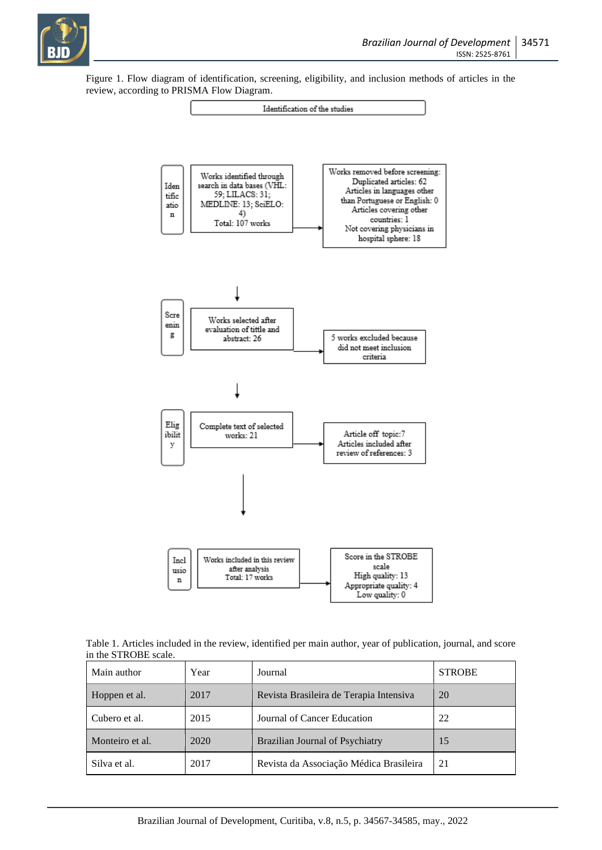

Figure 1. Flow diagram of identification, screening, eligibility, and inclusion methods of articles in the review, according to PRISMA Flow Diagram.



Table 1. Articles included in the review, identified per main author, year of publication, journal, and score in the STROBE scale.

| Main author     | Year | Journal                                 | <b>STROBE</b> |
|-----------------|------|-----------------------------------------|---------------|
| Hoppen et al.   | 2017 | Revista Brasileira de Terapia Intensiva | 20            |
| Cubero et al.   | 2015 | Journal of Cancer Education             | 22            |
| Monteiro et al. | 2020 | Brazilian Journal of Psychiatry         | 15            |
| Silva et al.    | 2017 | Revista da Associação Médica Brasileira | 21            |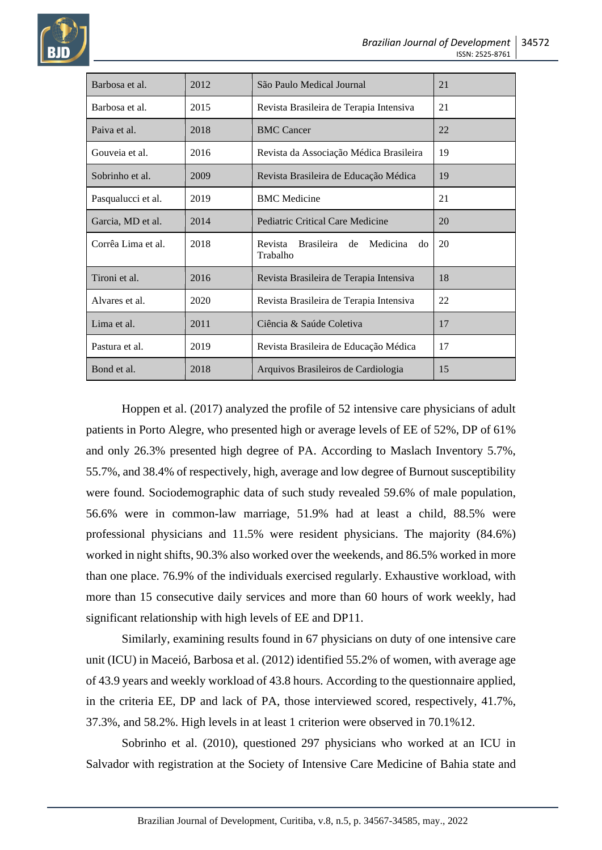

| Barbosa et al.     | 2012 | São Paulo Medical Journal                              | 21 |
|--------------------|------|--------------------------------------------------------|----|
| Barbosa et al.     | 2015 | Revista Brasileira de Terapia Intensiva                | 21 |
| Paiva et al.       | 2018 | <b>BMC</b> Cancer                                      | 22 |
| Gouveia et al.     | 2016 | Revista da Associação Médica Brasileira                | 19 |
| Sobrinho et al.    | 2009 | Revista Brasileira de Educação Médica                  | 19 |
| Pasqualucci et al. | 2019 | <b>BMC</b> Medicine                                    | 21 |
| Garcia, MD et al.  | 2014 | Pediatric Critical Care Medicine                       | 20 |
| Corrêa Lima et al. | 2018 | Brasileira de<br>Revista<br>Medicina<br>do<br>Trabalho | 20 |
| Tironi et al.      | 2016 | Revista Brasileira de Terapia Intensiva                | 18 |
| Alvares et al.     | 2020 | Revista Brasileira de Terapia Intensiva                | 22 |
| Lima et al.        | 2011 | Ciência & Saúde Coletiva                               | 17 |
| Pastura et al.     | 2019 | Revista Brasileira de Educação Médica                  | 17 |
| Bond et al.        | 2018 | Arquivos Brasileiros de Cardiologia                    | 15 |

Hoppen et al. (2017) analyzed the profile of 52 intensive care physicians of adult patients in Porto Alegre, who presented high or average levels of EE of 52%, DP of 61% and only 26.3% presented high degree of PA. According to Maslach Inventory 5.7%, 55.7%, and 38.4% of respectively, high, average and low degree of Burnout susceptibility were found. Sociodemographic data of such study revealed 59.6% of male population, 56.6% were in common-law marriage, 51.9% had at least a child, 88.5% were professional physicians and 11.5% were resident physicians. The majority (84.6%) worked in night shifts, 90.3% also worked over the weekends, and 86.5% worked in more than one place. 76.9% of the individuals exercised regularly. Exhaustive workload, with more than 15 consecutive daily services and more than 60 hours of work weekly, had significant relationship with high levels of EE and DP11.

Similarly, examining results found in 67 physicians on duty of one intensive care unit (ICU) in Maceió, Barbosa et al. (2012) identified 55.2% of women, with average age of 43.9 years and weekly workload of 43.8 hours. According to the questionnaire applied, in the criteria EE, DP and lack of PA, those interviewed scored, respectively, 41.7%, 37.3%, and 58.2%. High levels in at least 1 criterion were observed in 70.1%12.

Sobrinho et al. (2010), questioned 297 physicians who worked at an ICU in Salvador with registration at the Society of Intensive Care Medicine of Bahia state and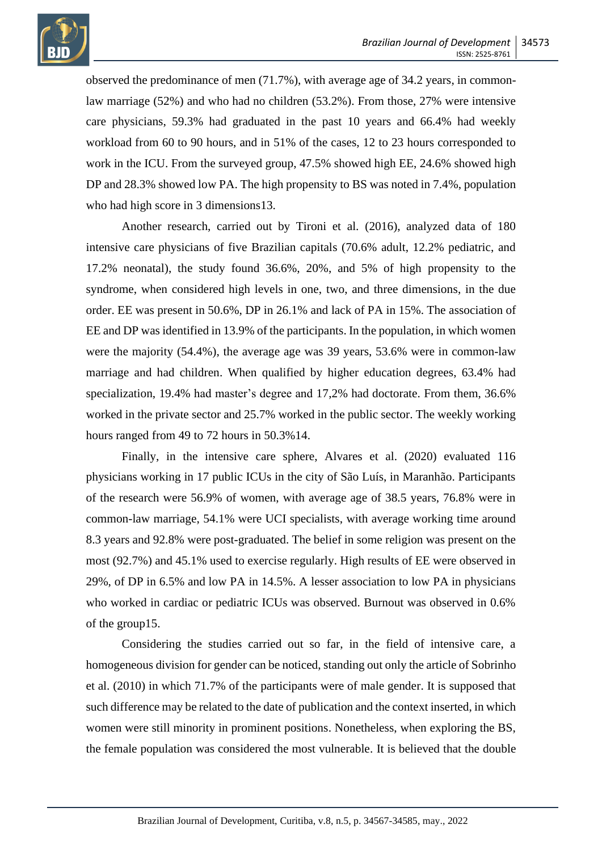

observed the predominance of men (71.7%), with average age of 34.2 years, in commonlaw marriage (52%) and who had no children (53.2%). From those, 27% were intensive care physicians, 59.3% had graduated in the past 10 years and 66.4% had weekly workload from 60 to 90 hours, and in 51% of the cases, 12 to 23 hours corresponded to work in the ICU. From the surveyed group, 47.5% showed high EE, 24.6% showed high DP and 28.3% showed low PA. The high propensity to BS was noted in 7.4%, population who had high score in 3 dimensions 13.

Another research, carried out by Tironi et al. (2016), analyzed data of 180 intensive care physicians of five Brazilian capitals (70.6% adult, 12.2% pediatric, and 17.2% neonatal), the study found 36.6%, 20%, and 5% of high propensity to the syndrome, when considered high levels in one, two, and three dimensions, in the due order. EE was present in 50.6%, DP in 26.1% and lack of PA in 15%. The association of EE and DP was identified in 13.9% of the participants. In the population, in which women were the majority (54.4%), the average age was 39 years, 53.6% were in common-law marriage and had children. When qualified by higher education degrees, 63.4% had specialization, 19.4% had master's degree and 17,2% had doctorate. From them, 36.6% worked in the private sector and 25.7% worked in the public sector. The weekly working hours ranged from 49 to 72 hours in 50.3%14.

Finally, in the intensive care sphere, Alvares et al. (2020) evaluated 116 physicians working in 17 public ICUs in the city of São Luís, in Maranhão. Participants of the research were 56.9% of women, with average age of 38.5 years, 76.8% were in common-law marriage, 54.1% were UCI specialists, with average working time around 8.3 years and 92.8% were post-graduated. The belief in some religion was present on the most (92.7%) and 45.1% used to exercise regularly. High results of EE were observed in 29%, of DP in 6.5% and low PA in 14.5%. A lesser association to low PA in physicians who worked in cardiac or pediatric ICUs was observed. Burnout was observed in 0.6% of the group15.

Considering the studies carried out so far, in the field of intensive care, a homogeneous division for gender can be noticed, standing out only the article of Sobrinho et al. (2010) in which 71.7% of the participants were of male gender. It is supposed that such difference may be related to the date of publication and the context inserted, in which women were still minority in prominent positions. Nonetheless, when exploring the BS, the female population was considered the most vulnerable. It is believed that the double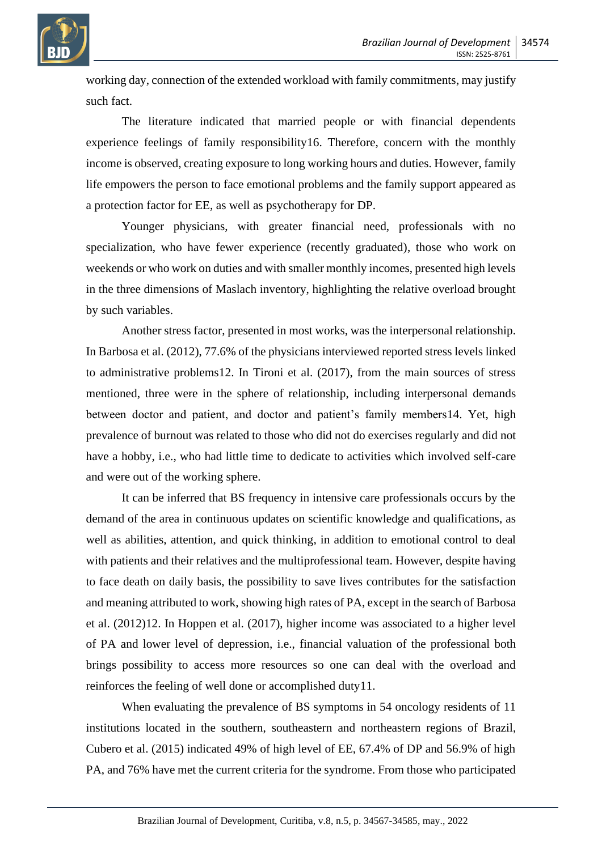

working day, connection of the extended workload with family commitments, may justify such fact.

The literature indicated that married people or with financial dependents experience feelings of family responsibility16. Therefore, concern with the monthly income is observed, creating exposure to long working hours and duties. However, family life empowers the person to face emotional problems and the family support appeared as a protection factor for EE, as well as psychotherapy for DP.

Younger physicians, with greater financial need, professionals with no specialization, who have fewer experience (recently graduated), those who work on weekends or who work on duties and with smaller monthly incomes, presented high levels in the three dimensions of Maslach inventory, highlighting the relative overload brought by such variables.

Another stress factor, presented in most works, was the interpersonal relationship. In Barbosa et al. (2012), 77.6% of the physicians interviewed reported stress levels linked to administrative problems12. In Tironi et al. (2017), from the main sources of stress mentioned, three were in the sphere of relationship, including interpersonal demands between doctor and patient, and doctor and patient's family members14. Yet, high prevalence of burnout was related to those who did not do exercises regularly and did not have a hobby, i.e., who had little time to dedicate to activities which involved self-care and were out of the working sphere.

It can be inferred that BS frequency in intensive care professionals occurs by the demand of the area in continuous updates on scientific knowledge and qualifications, as well as abilities, attention, and quick thinking, in addition to emotional control to deal with patients and their relatives and the multiprofessional team. However, despite having to face death on daily basis, the possibility to save lives contributes for the satisfaction and meaning attributed to work, showing high rates of PA, except in the search of Barbosa et al. (2012)12. In Hoppen et al. (2017), higher income was associated to a higher level of PA and lower level of depression, i.e., financial valuation of the professional both brings possibility to access more resources so one can deal with the overload and reinforces the feeling of well done or accomplished duty11.

When evaluating the prevalence of BS symptoms in 54 oncology residents of 11 institutions located in the southern, southeastern and northeastern regions of Brazil, Cubero et al. (2015) indicated 49% of high level of EE, 67.4% of DP and 56.9% of high PA, and 76% have met the current criteria for the syndrome. From those who participated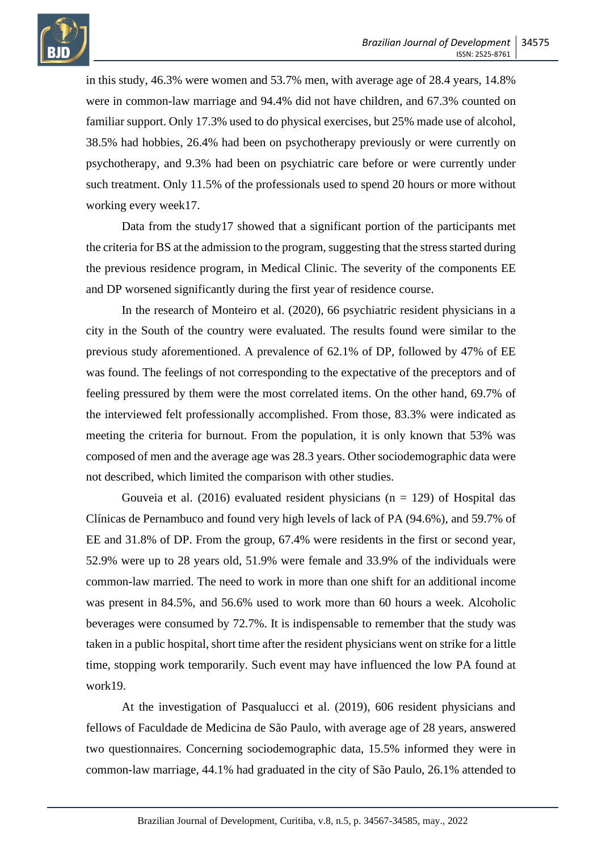

in this study, 46.3% were women and 53.7% men, with average age of 28.4 years, 14.8% were in common-law marriage and 94.4% did not have children, and 67.3% counted on familiar support. Only 17.3% used to do physical exercises, but 25% made use of alcohol, 38.5% had hobbies, 26.4% had been on psychotherapy previously or were currently on psychotherapy, and 9.3% had been on psychiatric care before or were currently under such treatment. Only 11.5% of the professionals used to spend 20 hours or more without working every week17.

Data from the study17 showed that a significant portion of the participants met the criteria for BS at the admission to the program, suggesting that the stress started during the previous residence program, in Medical Clinic. The severity of the components EE and DP worsened significantly during the first year of residence course.

In the research of Monteiro et al. (2020), 66 psychiatric resident physicians in a city in the South of the country were evaluated. The results found were similar to the previous study aforementioned. A prevalence of 62.1% of DP, followed by 47% of EE was found. The feelings of not corresponding to the expectative of the preceptors and of feeling pressured by them were the most correlated items. On the other hand, 69.7% of the interviewed felt professionally accomplished. From those, 83.3% were indicated as meeting the criteria for burnout. From the population, it is only known that 53% was composed of men and the average age was 28.3 years. Other sociodemographic data were not described, which limited the comparison with other studies.

Gouveia et al. (2016) evaluated resident physicians ( $n = 129$ ) of Hospital das Clínicas de Pernambuco and found very high levels of lack of PA (94.6%), and 59.7% of EE and 31.8% of DP. From the group, 67.4% were residents in the first or second year, 52.9% were up to 28 years old, 51.9% were female and 33.9% of the individuals were common-law married. The need to work in more than one shift for an additional income was present in 84.5%, and 56.6% used to work more than 60 hours a week. Alcoholic beverages were consumed by 72.7%. It is indispensable to remember that the study was taken in a public hospital, short time after the resident physicians went on strike for a little time, stopping work temporarily. Such event may have influenced the low PA found at work19.

At the investigation of Pasqualucci et al. (2019), 606 resident physicians and fellows of Faculdade de Medicina de São Paulo, with average age of 28 years, answered two questionnaires. Concerning sociodemographic data, 15.5% informed they were in common-law marriage, 44.1% had graduated in the city of São Paulo, 26.1% attended to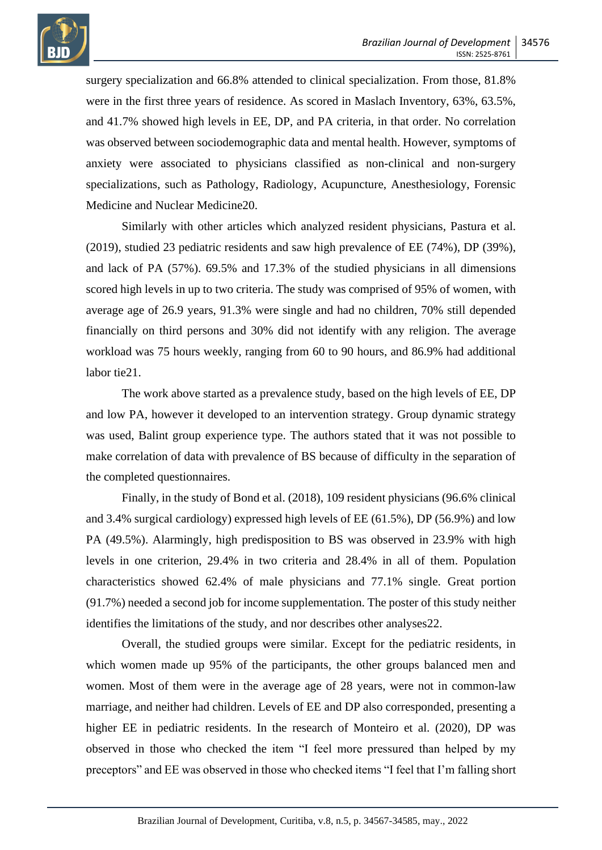

surgery specialization and 66.8% attended to clinical specialization. From those, 81.8% were in the first three years of residence. As scored in Maslach Inventory, 63%, 63.5%, and 41.7% showed high levels in EE, DP, and PA criteria, in that order. No correlation was observed between sociodemographic data and mental health. However, symptoms of anxiety were associated to physicians classified as non-clinical and non-surgery specializations, such as Pathology, Radiology, Acupuncture, Anesthesiology, Forensic Medicine and Nuclear Medicine20.

Similarly with other articles which analyzed resident physicians, Pastura et al. (2019), studied 23 pediatric residents and saw high prevalence of EE (74%), DP (39%), and lack of PA (57%). 69.5% and 17.3% of the studied physicians in all dimensions scored high levels in up to two criteria. The study was comprised of 95% of women, with average age of 26.9 years, 91.3% were single and had no children, 70% still depended financially on third persons and 30% did not identify with any religion. The average workload was 75 hours weekly, ranging from 60 to 90 hours, and 86.9% had additional labor tie21.

The work above started as a prevalence study, based on the high levels of EE, DP and low PA, however it developed to an intervention strategy. Group dynamic strategy was used, Balint group experience type. The authors stated that it was not possible to make correlation of data with prevalence of BS because of difficulty in the separation of the completed questionnaires.

Finally, in the study of Bond et al. (2018), 109 resident physicians (96.6% clinical and 3.4% surgical cardiology) expressed high levels of EE (61.5%), DP (56.9%) and low PA (49.5%). Alarmingly, high predisposition to BS was observed in 23.9% with high levels in one criterion, 29.4% in two criteria and 28.4% in all of them. Population characteristics showed 62.4% of male physicians and 77.1% single. Great portion (91.7%) needed a second job for income supplementation. The poster of this study neither identifies the limitations of the study, and nor describes other analyses22.

Overall, the studied groups were similar. Except for the pediatric residents, in which women made up 95% of the participants, the other groups balanced men and women. Most of them were in the average age of 28 years, were not in common-law marriage, and neither had children. Levels of EE and DP also corresponded, presenting a higher EE in pediatric residents. In the research of Monteiro et al. (2020), DP was observed in those who checked the item "I feel more pressured than helped by my preceptors" and EE was observed in those who checked items "I feel that I'm falling short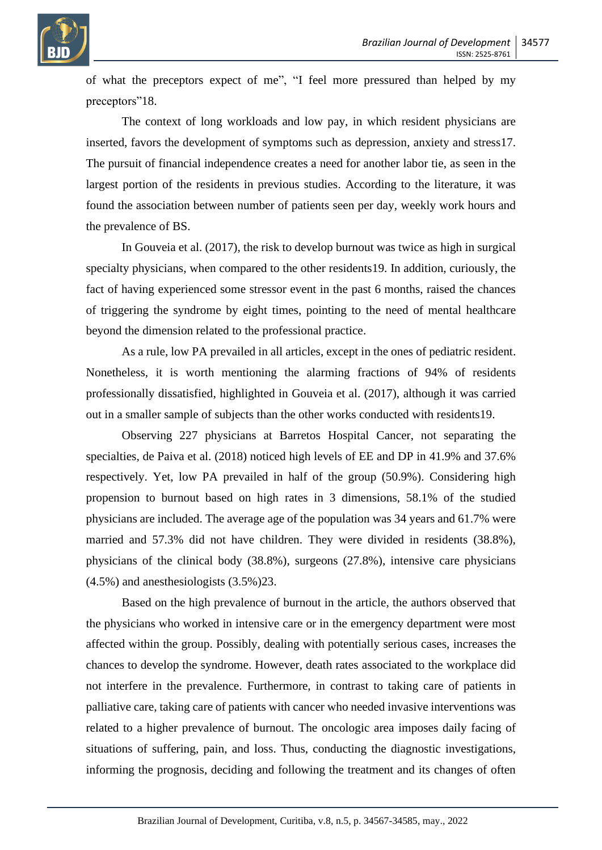

of what the preceptors expect of me", "I feel more pressured than helped by my preceptors"18.

The context of long workloads and low pay, in which resident physicians are inserted, favors the development of symptoms such as depression, anxiety and stress17. The pursuit of financial independence creates a need for another labor tie, as seen in the largest portion of the residents in previous studies. According to the literature, it was found the association between number of patients seen per day, weekly work hours and the prevalence of BS.

In Gouveia et al. (2017), the risk to develop burnout was twice as high in surgical specialty physicians, when compared to the other residents19. In addition, curiously, the fact of having experienced some stressor event in the past 6 months, raised the chances of triggering the syndrome by eight times, pointing to the need of mental healthcare beyond the dimension related to the professional practice.

As a rule, low PA prevailed in all articles, except in the ones of pediatric resident. Nonetheless, it is worth mentioning the alarming fractions of 94% of residents professionally dissatisfied, highlighted in Gouveia et al. (2017), although it was carried out in a smaller sample of subjects than the other works conducted with residents19.

Observing 227 physicians at Barretos Hospital Cancer, not separating the specialties, de Paiva et al. (2018) noticed high levels of EE and DP in 41.9% and 37.6% respectively. Yet, low PA prevailed in half of the group (50.9%). Considering high propension to burnout based on high rates in 3 dimensions, 58.1% of the studied physicians are included. The average age of the population was 34 years and 61.7% were married and 57.3% did not have children. They were divided in residents (38.8%), physicians of the clinical body (38.8%), surgeons (27.8%), intensive care physicians (4.5%) and anesthesiologists (3.5%)23.

Based on the high prevalence of burnout in the article, the authors observed that the physicians who worked in intensive care or in the emergency department were most affected within the group. Possibly, dealing with potentially serious cases, increases the chances to develop the syndrome. However, death rates associated to the workplace did not interfere in the prevalence. Furthermore, in contrast to taking care of patients in palliative care, taking care of patients with cancer who needed invasive interventions was related to a higher prevalence of burnout. The oncologic area imposes daily facing of situations of suffering, pain, and loss. Thus, conducting the diagnostic investigations, informing the prognosis, deciding and following the treatment and its changes of often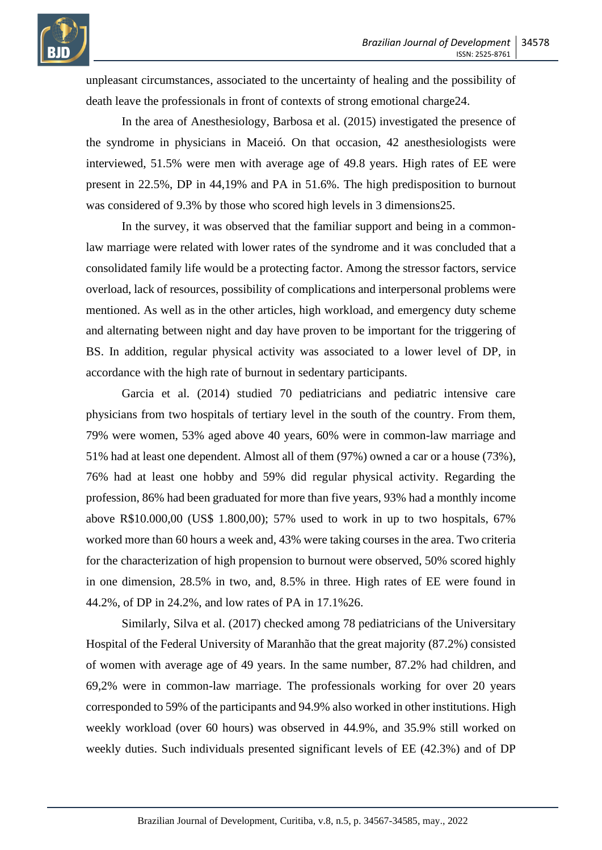

unpleasant circumstances, associated to the uncertainty of healing and the possibility of death leave the professionals in front of contexts of strong emotional charge24.

In the area of Anesthesiology, Barbosa et al. (2015) investigated the presence of the syndrome in physicians in Maceió. On that occasion, 42 anesthesiologists were interviewed, 51.5% were men with average age of 49.8 years. High rates of EE were present in 22.5%, DP in 44,19% and PA in 51.6%. The high predisposition to burnout was considered of 9.3% by those who scored high levels in 3 dimensions25.

In the survey, it was observed that the familiar support and being in a commonlaw marriage were related with lower rates of the syndrome and it was concluded that a consolidated family life would be a protecting factor. Among the stressor factors, service overload, lack of resources, possibility of complications and interpersonal problems were mentioned. As well as in the other articles, high workload, and emergency duty scheme and alternating between night and day have proven to be important for the triggering of BS. In addition, regular physical activity was associated to a lower level of DP, in accordance with the high rate of burnout in sedentary participants.

Garcia et al. (2014) studied 70 pediatricians and pediatric intensive care physicians from two hospitals of tertiary level in the south of the country. From them, 79% were women, 53% aged above 40 years, 60% were in common-law marriage and 51% had at least one dependent. Almost all of them (97%) owned a car or a house (73%), 76% had at least one hobby and 59% did regular physical activity. Regarding the profession, 86% had been graduated for more than five years, 93% had a monthly income above R\$10.000,00 (US\$ 1.800,00); 57% used to work in up to two hospitals, 67% worked more than 60 hours a week and, 43% were taking courses in the area. Two criteria for the characterization of high propension to burnout were observed, 50% scored highly in one dimension, 28.5% in two, and, 8.5% in three. High rates of EE were found in 44.2%, of DP in 24.2%, and low rates of PA in 17.1%26.

Similarly, Silva et al. (2017) checked among 78 pediatricians of the Universitary Hospital of the Federal University of Maranhão that the great majority (87.2%) consisted of women with average age of 49 years. In the same number, 87.2% had children, and 69,2% were in common-law marriage. The professionals working for over 20 years corresponded to 59% of the participants and 94.9% also worked in other institutions. High weekly workload (over 60 hours) was observed in 44.9%, and 35.9% still worked on weekly duties. Such individuals presented significant levels of EE (42.3%) and of DP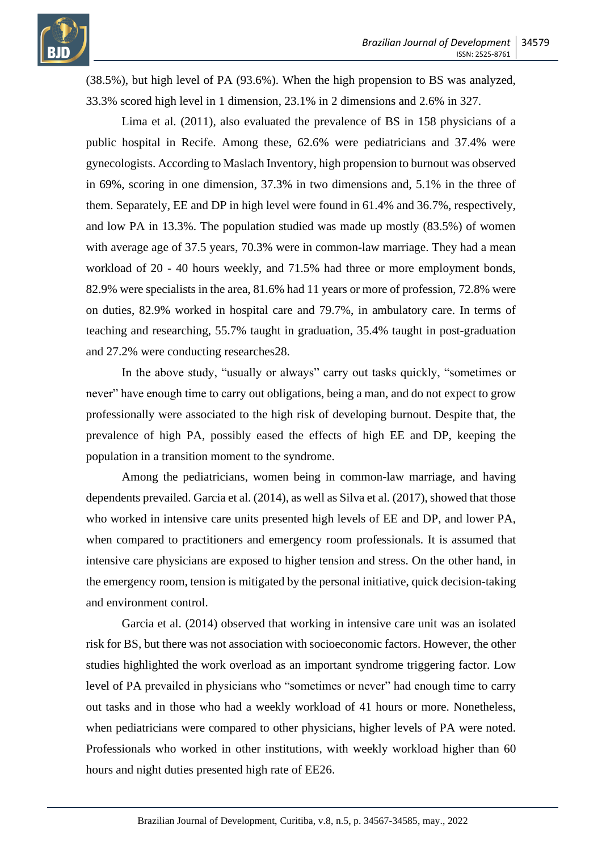(38.5%), but high level of PA (93.6%). When the high propension to BS was analyzed, 33.3% scored high level in 1 dimension, 23.1% in 2 dimensions and 2.6% in 327.

Lima et al. (2011), also evaluated the prevalence of BS in 158 physicians of a public hospital in Recife. Among these, 62.6% were pediatricians and 37.4% were gynecologists. According to Maslach Inventory, high propension to burnout was observed in 69%, scoring in one dimension, 37.3% in two dimensions and, 5.1% in the three of them. Separately, EE and DP in high level were found in 61.4% and 36.7%, respectively, and low PA in 13.3%. The population studied was made up mostly (83.5%) of women with average age of 37.5 years, 70.3% were in common-law marriage. They had a mean workload of 20 - 40 hours weekly, and 71.5% had three or more employment bonds, 82.9% were specialists in the area, 81.6% had 11 years or more of profession, 72.8% were on duties, 82.9% worked in hospital care and 79.7%, in ambulatory care. In terms of teaching and researching, 55.7% taught in graduation, 35.4% taught in post-graduation and 27.2% were conducting researches28.

In the above study, "usually or always" carry out tasks quickly, "sometimes or never" have enough time to carry out obligations, being a man, and do not expect to grow professionally were associated to the high risk of developing burnout. Despite that, the prevalence of high PA, possibly eased the effects of high EE and DP, keeping the population in a transition moment to the syndrome.

Among the pediatricians, women being in common-law marriage, and having dependents prevailed. Garcia et al. (2014), as well as Silva et al. (2017), showed that those who worked in intensive care units presented high levels of EE and DP, and lower PA, when compared to practitioners and emergency room professionals. It is assumed that intensive care physicians are exposed to higher tension and stress. On the other hand, in the emergency room, tension is mitigated by the personal initiative, quick decision-taking and environment control.

Garcia et al. (2014) observed that working in intensive care unit was an isolated risk for BS, but there was not association with socioeconomic factors. However, the other studies highlighted the work overload as an important syndrome triggering factor. Low level of PA prevailed in physicians who "sometimes or never" had enough time to carry out tasks and in those who had a weekly workload of 41 hours or more. Nonetheless, when pediatricians were compared to other physicians, higher levels of PA were noted. Professionals who worked in other institutions, with weekly workload higher than 60 hours and night duties presented high rate of EE26.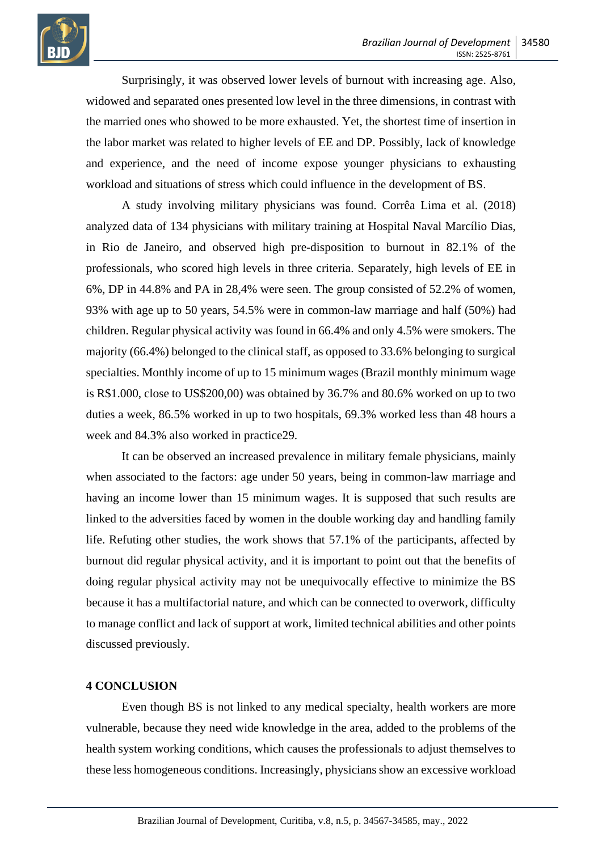

Surprisingly, it was observed lower levels of burnout with increasing age. Also, widowed and separated ones presented low level in the three dimensions, in contrast with the married ones who showed to be more exhausted. Yet, the shortest time of insertion in the labor market was related to higher levels of EE and DP. Possibly, lack of knowledge and experience, and the need of income expose younger physicians to exhausting workload and situations of stress which could influence in the development of BS.

A study involving military physicians was found. Corrêa Lima et al. (2018) analyzed data of 134 physicians with military training at Hospital Naval Marcílio Dias, in Rio de Janeiro, and observed high pre-disposition to burnout in 82.1% of the professionals, who scored high levels in three criteria. Separately, high levels of EE in 6%, DP in 44.8% and PA in 28,4% were seen. The group consisted of 52.2% of women, 93% with age up to 50 years, 54.5% were in common-law marriage and half (50%) had children. Regular physical activity was found in 66.4% and only 4.5% were smokers. The majority (66.4%) belonged to the clinical staff, as opposed to 33.6% belonging to surgical specialties. Monthly income of up to 15 minimum wages (Brazil monthly minimum wage is R\$1.000, close to US\$200,00) was obtained by 36.7% and 80.6% worked on up to two duties a week, 86.5% worked in up to two hospitals, 69.3% worked less than 48 hours a week and 84.3% also worked in practice29.

It can be observed an increased prevalence in military female physicians, mainly when associated to the factors: age under 50 years, being in common-law marriage and having an income lower than 15 minimum wages. It is supposed that such results are linked to the adversities faced by women in the double working day and handling family life. Refuting other studies, the work shows that 57.1% of the participants, affected by burnout did regular physical activity, and it is important to point out that the benefits of doing regular physical activity may not be unequivocally effective to minimize the BS because it has a multifactorial nature, and which can be connected to overwork, difficulty to manage conflict and lack of support at work, limited technical abilities and other points discussed previously.

#### **4 CONCLUSION**

Even though BS is not linked to any medical specialty, health workers are more vulnerable, because they need wide knowledge in the area, added to the problems of the health system working conditions, which causes the professionals to adjust themselves to these less homogeneous conditions. Increasingly, physicians show an excessive workload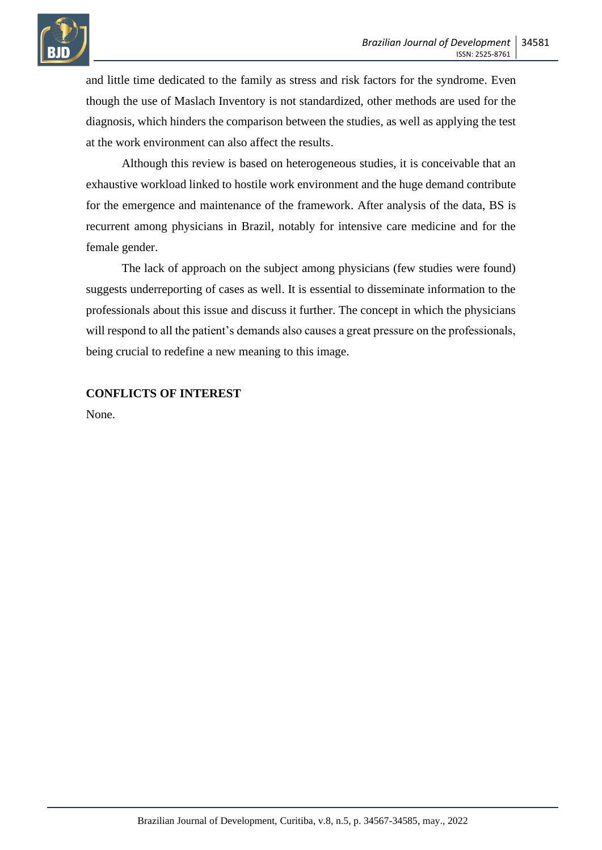

and little time dedicated to the family as stress and risk factors for the syndrome. Even though the use of Maslach Inventory is not standardized, other methods are used for the diagnosis, which hinders the comparison between the studies, as well as applying the test at the work environment can also affect the results.

Although this review is based on heterogeneous studies, it is conceivable that an exhaustive workload linked to hostile work environment and the huge demand contribute for the emergence and maintenance of the framework. After analysis of the data, BS is recurrent among physicians in Brazil, notably for intensive care medicine and for the female gender.

The lack of approach on the subject among physicians (few studies were found) suggests underreporting of cases as well. It is essential to disseminate information to the professionals about this issue and discuss it further. The concept in which the physicians will respond to all the patient's demands also causes a great pressure on the professionals, being crucial to redefine a new meaning to this image.

## **CONFLICTS OF INTEREST**

None.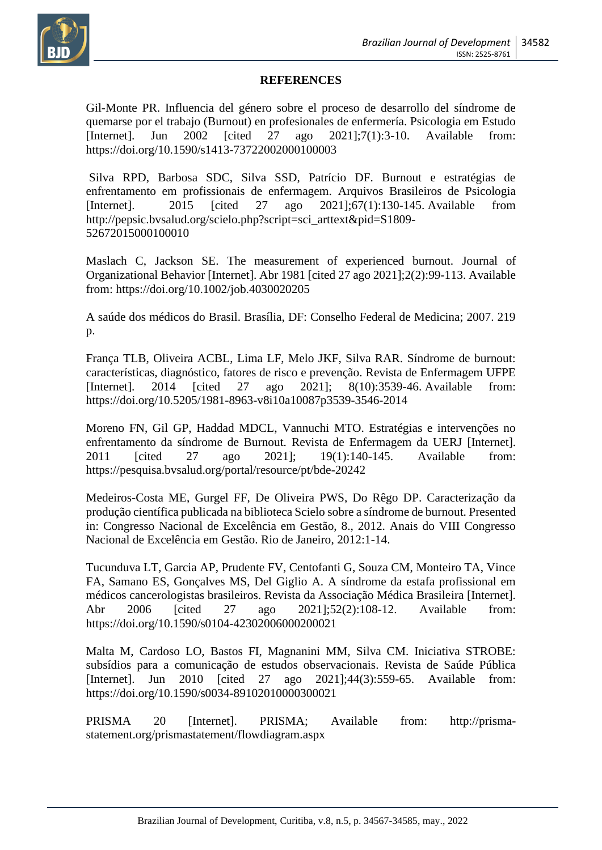

#### **REFERENCES**

Gil-Monte PR. Influencia del género sobre el proceso de desarrollo del síndrome de quemarse por el trabajo (Burnout) en profesionales de enfermería. Psicologia em Estudo [Internet]. Jun 2002 [cited 27 ago 2021];7(1):3-10. Available from: https://doi.org/10.1590/s1413-73722002000100003

Silva RPD, Barbosa SDC, Silva SSD, Patrício DF. Burnout e estratégias de enfrentamento em profissionais de enfermagem. Arquivos Brasileiros de Psicologia [Internet]. 2015 [cited 27 ago 2021];67(1):130-145. Available from http://pepsic.bvsalud.org/scielo.php?script=sci\_arttext&pid=S1809- 52672015000100010

Maslach C, Jackson SE. The measurement of experienced burnout. Journal of Organizational Behavior [Internet]. Abr 1981 [cited 27 ago 2021];2(2):99-113. Available from: https://doi.org/10.1002/job.4030020205

A saúde dos médicos do Brasil. Brasília, DF: Conselho Federal de Medicina; 2007. 219 p.

França TLB, Oliveira ACBL, Lima LF, Melo JKF, Silva RAR. Síndrome de burnout: características, diagnóstico, fatores de risco e prevenção. Revista de Enfermagem UFPE [Internet]. 2014 [cited 27 ago 2021]; 8(10):3539-46. Available from: https://doi.org/10.5205/1981-8963-v8i10a10087p3539-3546-2014

Moreno FN, Gil GP, Haddad MDCL, Vannuchi MTO. Estratégias e intervenções no enfrentamento da síndrome de Burnout. Revista de Enfermagem da UERJ [Internet]. 2011 [cited 27 ago 2021]; 19(1):140-145. Available from: https://pesquisa.bvsalud.org/portal/resource/pt/bde-20242

Medeiros-Costa ME, Gurgel FF, De Oliveira PWS, Do Rêgo DP. Caracterização da produção científica publicada na biblioteca Scielo sobre a síndrome de burnout. Presented in: Congresso Nacional de Excelência em Gestão, 8., 2012. Anais do VIII Congresso Nacional de Excelência em Gestão. Rio de Janeiro, 2012:1-14.

Tucunduva LT, Garcia AP, Prudente FV, Centofanti G, Souza CM, Monteiro TA, Vince FA, Samano ES, Gonçalves MS, Del Giglio A. A síndrome da estafa profissional em médicos cancerologistas brasileiros. Revista da Associação Médica Brasileira [Internet]. Abr 2006 [cited 27 ago 2021];52(2):108-12. Available from: https://doi.org/10.1590/s0104-42302006000200021

Malta M, Cardoso LO, Bastos FI, Magnanini MM, Silva CM. Iniciativa STROBE: subsídios para a comunicação de estudos observacionais. Revista de Saúde Pública [Internet]. Jun 2010 [cited 27 ago 2021];44(3):559-65. Available from: https://doi.org/10.1590/s0034-89102010000300021

PRISMA 20 [Internet]. PRISMA; Available from: http://prismastatement.org/prismastatement/flowdiagram.aspx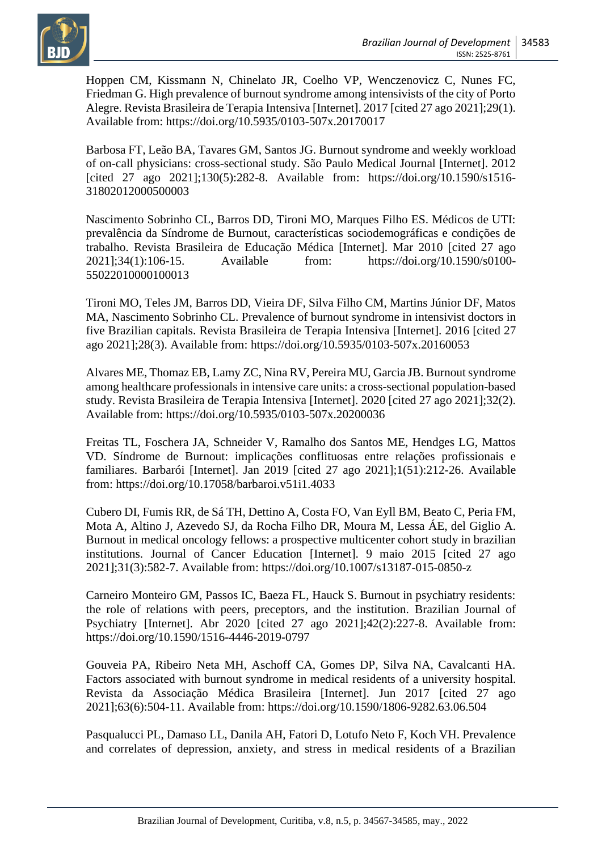

Hoppen CM, Kissmann N, Chinelato JR, Coelho VP, Wenczenovicz C, Nunes FC, Friedman G. High prevalence of burnout syndrome among intensivists of the city of Porto Alegre. Revista Brasileira de Terapia Intensiva [Internet]. 2017 [cited 27 ago 2021];29(1). Available from: https://doi.org/10.5935/0103-507x.20170017

Barbosa FT, Leão BA, Tavares GM, Santos JG. Burnout syndrome and weekly workload of on-call physicians: cross-sectional study. São Paulo Medical Journal [Internet]. 2012 [cited 27 ago 2021];130(5):282-8. Available from: https://doi.org/10.1590/s1516-31802012000500003

Nascimento Sobrinho CL, Barros DD, Tironi MO, Marques Filho ES. Médicos de UTI: prevalência da Síndrome de Burnout, características sociodemográficas e condições de trabalho. Revista Brasileira de Educação Médica [Internet]. Mar 2010 [cited 27 ago 2021];34(1):106-15. Available from: https://doi.org/10.1590/s0100- 55022010000100013

Tironi MO, Teles JM, Barros DD, Vieira DF, Silva Filho CM, Martins Júnior DF, Matos MA, Nascimento Sobrinho CL. Prevalence of burnout syndrome in intensivist doctors in five Brazilian capitals. Revista Brasileira de Terapia Intensiva [Internet]. 2016 [cited 27 ago 2021];28(3). Available from: https://doi.org/10.5935/0103-507x.20160053

Alvares ME, Thomaz EB, Lamy ZC, Nina RV, Pereira MU, Garcia JB. Burnout syndrome among healthcare professionals in intensive care units: a cross-sectional population-based study. Revista Brasileira de Terapia Intensiva [Internet]. 2020 [cited 27 ago 2021];32(2). Available from: https://doi.org/10.5935/0103-507x.20200036

Freitas TL, Foschera JA, Schneider V, Ramalho dos Santos ME, Hendges LG, Mattos VD. Síndrome de Burnout: implicações conflituosas entre relações profissionais e familiares. Barbarói [Internet]. Jan 2019 [cited 27 ago 2021];1(51):212-26. Available from: https://doi.org/10.17058/barbaroi.v51i1.4033

Cubero DI, Fumis RR, de Sá TH, Dettino A, Costa FO, Van Eyll BM, Beato C, Peria FM, Mota A, Altino J, Azevedo SJ, da Rocha Filho DR, Moura M, Lessa ÁE, del Giglio A. Burnout in medical oncology fellows: a prospective multicenter cohort study in brazilian institutions. Journal of Cancer Education [Internet]. 9 maio 2015 [cited 27 ago 2021];31(3):582-7. Available from: https://doi.org/10.1007/s13187-015-0850-z

Carneiro Monteiro GM, Passos IC, Baeza FL, Hauck S. Burnout in psychiatry residents: the role of relations with peers, preceptors, and the institution. Brazilian Journal of Psychiatry [Internet]. Abr 2020 [cited 27 ago 2021];42(2):227-8. Available from: https://doi.org/10.1590/1516-4446-2019-0797

Gouveia PA, Ribeiro Neta MH, Aschoff CA, Gomes DP, Silva NA, Cavalcanti HA. Factors associated with burnout syndrome in medical residents of a university hospital. Revista da Associação Médica Brasileira [Internet]. Jun 2017 [cited 27 ago 2021];63(6):504-11. Available from: https://doi.org/10.1590/1806-9282.63.06.504

Pasqualucci PL, Damaso LL, Danila AH, Fatori D, Lotufo Neto F, Koch VH. Prevalence and correlates of depression, anxiety, and stress in medical residents of a Brazilian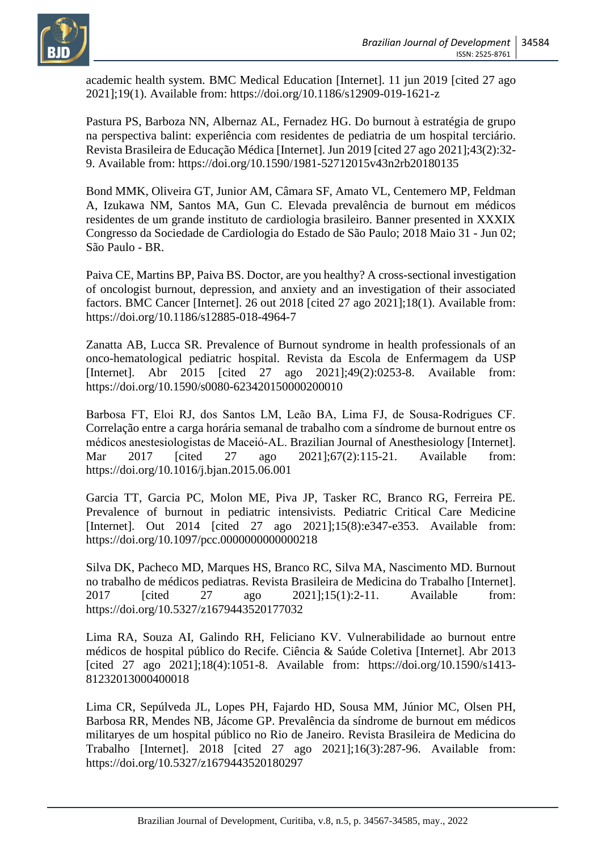academic health system. BMC Medical Education [Internet]. 11 jun 2019 [cited 27 ago 2021];19(1). Available from: https://doi.org/10.1186/s12909-019-1621-z

Pastura PS, Barboza NN, Albernaz AL, Fernadez HG. Do burnout à estratégia de grupo na perspectiva balint: experiência com residentes de pediatria de um hospital terciário. Revista Brasileira de Educação Médica [Internet]. Jun 2019 [cited 27 ago 2021];43(2):32- 9. Available from: https://doi.org/10.1590/1981-52712015v43n2rb20180135

Bond MMK, Oliveira GT, Junior AM, Câmara SF, Amato VL, Centemero MP, Feldman A, Izukawa NM, Santos MA, Gun C. Elevada prevalência de burnout em médicos residentes de um grande instituto de cardiologia brasileiro. Banner presented in XXXIX Congresso da Sociedade de Cardiologia do Estado de São Paulo; 2018 Maio 31 - Jun 02; São Paulo - BR.

Paiva CE, Martins BP, Paiva BS. Doctor, are you healthy? A cross-sectional investigation of oncologist burnout, depression, and anxiety and an investigation of their associated factors. BMC Cancer [Internet]. 26 out 2018 [cited 27 ago 2021];18(1). Available from: https://doi.org/10.1186/s12885-018-4964-7

Zanatta AB, Lucca SR. Prevalence of Burnout syndrome in health professionals of an onco-hematological pediatric hospital. Revista da Escola de Enfermagem da USP [Internet]. Abr 2015 [cited 27 ago 2021];49(2):0253-8. Available from: https://doi.org/10.1590/s0080-623420150000200010

Barbosa FT, Eloi RJ, dos Santos LM, Leão BA, Lima FJ, de Sousa‐Rodrigues CF. Correlação entre a carga horária semanal de trabalho com a síndrome de burnout entre os médicos anestesiologistas de Maceió‐AL. Brazilian Journal of Anesthesiology [Internet]. Mar 2017 [cited 27 ago 2021];67(2):115-21. Available from: https://doi.org/10.1016/j.bjan.2015.06.001

Garcia TT, Garcia PC, Molon ME, Piva JP, Tasker RC, Branco RG, Ferreira PE. Prevalence of burnout in pediatric intensivists. Pediatric Critical Care Medicine [Internet]. Out 2014 [cited 27 ago 2021];15(8):e347-e353. Available from: https://doi.org/10.1097/pcc.0000000000000218

Silva DK, Pacheco MD, Marques HS, Branco RC, Silva MA, Nascimento MD. Burnout no trabalho de médicos pediatras. Revista Brasileira de Medicina do Trabalho [Internet]. 2017 [cited 27 ago 2021];15(1):2-11. Available from: https://doi.org/10.5327/z1679443520177032

Lima RA, Souza AI, Galindo RH, Feliciano KV. Vulnerabilidade ao burnout entre médicos de hospital público do Recife. Ciência & Saúde Coletiva [Internet]. Abr 2013 [cited 27 ago 2021];18(4):1051-8. Available from: https://doi.org/10.1590/s1413-81232013000400018

Lima CR, Sepúlveda JL, Lopes PH, Fajardo HD, Sousa MM, Júnior MC, Olsen PH, Barbosa RR, Mendes NB, Jácome GP. Prevalência da síndrome de burnout em médicos militaryes de um hospital público no Rio de Janeiro. Revista Brasileira de Medicina do Trabalho [Internet]. 2018 [cited 27 ago 2021];16(3):287-96. Available from: https://doi.org/10.5327/z1679443520180297